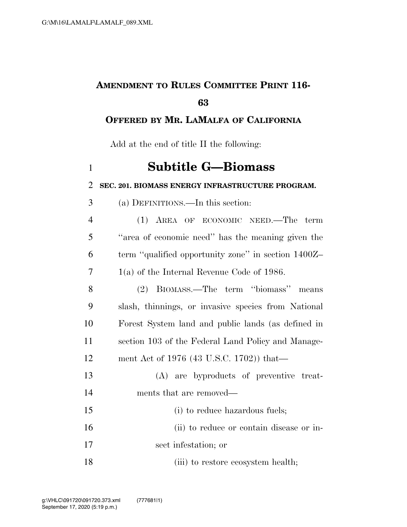## **AMENDMENT TO RULES COMMITTEE PRINT 116-**

## **OFFERED BY MR. LAMALFA OF CALIFORNIA**

Add at the end of title II the following:

## **Subtitle G—Biomass**

## **SEC. 201. BIOMASS ENERGY INFRASTRUCTURE PROGRAM.**

(a) DEFINITIONS.—In this section:

 (1) AREA OF ECONOMIC NEED.—The term ''area of economic need'' has the meaning given the term ''qualified opportunity zone'' in section 1400Z– 1(a) of the Internal Revenue Code of 1986.

 (2) BIOMASS.—The term ''biomass'' means slash, thinnings, or invasive species from National Forest System land and public lands (as defined in section 103 of the Federal Land Policy and Manage-ment Act of 1976 (43 U.S.C. 1702)) that—

- (A) are byproducts of preventive treat-ments that are removed—
- (i) to reduce hazardous fuels; (ii) to reduce or contain disease or in-sect infestation; or
- 18 (iii) to restore ecosystem health;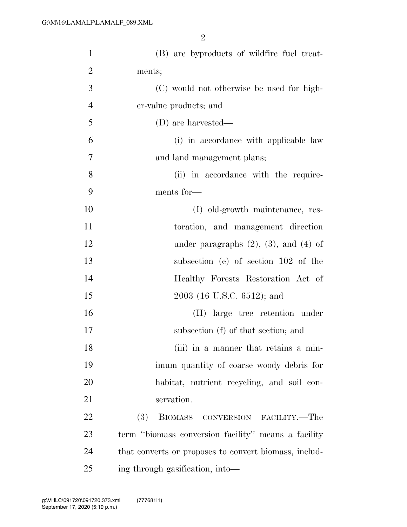| $\mathbf{1}$   | (B) are byproducts of wildfire fuel treat-            |
|----------------|-------------------------------------------------------|
| $\overline{2}$ | ments;                                                |
| 3              | (C) would not otherwise be used for high-             |
| $\overline{4}$ | er-value products; and                                |
| 5              | (D) are harvested—                                    |
| 6              | (i) in accordance with applicable law                 |
| $\overline{7}$ | and land management plans;                            |
| 8              | (ii) in accordance with the require-                  |
| 9              | ments for-                                            |
| 10             | (I) old-growth maintenance, res-                      |
| 11             | toration, and management direction                    |
| 12             | under paragraphs $(2)$ , $(3)$ , and $(4)$ of         |
| 13             | subsection (e) of section 102 of the                  |
| 14             | Healthy Forests Restoration Act of                    |
| 15             | 2003 (16 U.S.C. 6512); and                            |
| 16             | (II) large tree retention under                       |
| 17             | subsection (f) of that section; and                   |
| 18             | (iii) in a manner that retains a min-                 |
| 19             | imum quantity of coarse woody debris for              |
| 20             | habitat, nutrient recycling, and soil con-            |
| 21             | servation.                                            |
| 22             | (3)<br>BIOMASS CONVERSION FACILITY.—The               |
| 23             | term "biomass conversion facility" means a facility   |
| 24             | that converts or proposes to convert biomass, includ- |
| 25             | ing through gasification, into-                       |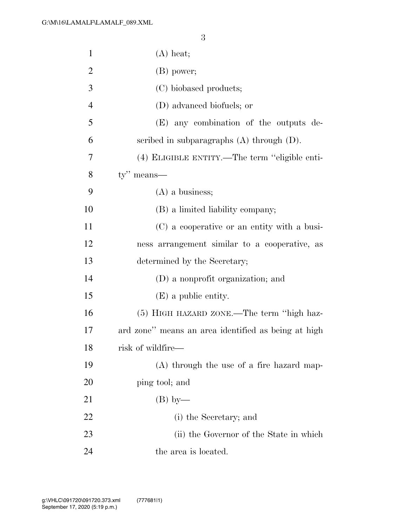| $\mathbf{1}$   | $(A)$ heat;                                         |
|----------------|-----------------------------------------------------|
| $\overline{2}$ | (B) power;                                          |
| 3              | (C) biobased products;                              |
| $\overline{4}$ | (D) advanced biofuels; or                           |
| 5              | (E) any combination of the outputs de-              |
| 6              | scribed in subparagraphs $(A)$ through $(D)$ .      |
| 7              | (4) ELIGIBLE ENTITY.—The term "eligible enti-       |
| 8              | $ty''$ means—                                       |
| 9              | $(A)$ a business;                                   |
| 10             | (B) a limited liability company;                    |
| 11             | (C) a cooperative or an entity with a busi-         |
| 12             | ness arrangement similar to a cooperative, as       |
| 13             | determined by the Secretary;                        |
| 14             | (D) a nonprofit organization; and                   |
| 15             | (E) a public entity.                                |
| 16             | (5) HIGH HAZARD ZONE.—The term "high haz-           |
| 17             | ard zone" means an area identified as being at high |
| 18             | risk of wildfire—                                   |
| 19             | $(A)$ through the use of a fire hazard map-         |
| 20             | ping tool; and                                      |
| 21             | $(B)$ by—                                           |
| 22             | (i) the Secretary; and                              |
| 23             | (ii) the Governor of the State in which             |
| 24             | the area is located.                                |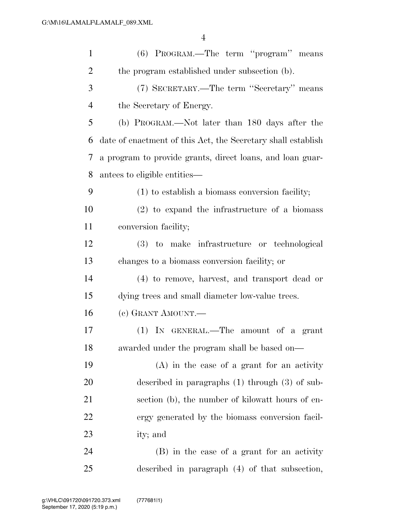| $\mathbf{1}$   | (6) PROGRAM.—The term "program" means                        |
|----------------|--------------------------------------------------------------|
| $\overline{2}$ | the program established under subsection (b).                |
| 3              | (7) SECRETARY.—The term "Secretary" means                    |
| $\overline{4}$ | the Secretary of Energy.                                     |
| 5              | (b) PROGRAM.—Not later than 180 days after the               |
| 6              | date of enactment of this Act, the Secretary shall establish |
| 7              | a program to provide grants, direct loans, and loan guar-    |
| 8              | antees to eligible entities—                                 |
| 9              | (1) to establish a biomass conversion facility;              |
| 10             | $(2)$ to expand the infrastructure of a biomass              |
| 11             | conversion facility;                                         |
| 12             | (3) to make infrastructure or technological                  |
| 13             | changes to a biomass conversion facility; or                 |
| 14             | (4) to remove, harvest, and transport dead or                |
| 15             | dying trees and small diameter low-value trees.              |
| 16             | (c) GRANT AMOUNT.—                                           |
| 17             | (1) IN GENERAL.—The amount of a grant                        |
| 18             | awarded under the program shall be based on—                 |
| 19             | $(A)$ in the case of a grant for an activity                 |
| 20             | described in paragraphs $(1)$ through $(3)$ of sub-          |
| 21             | section (b), the number of kilowatt hours of en-             |
| 22             | ergy generated by the biomass conversion facil-              |
| 23             | ity; and                                                     |
| 24             | (B) in the case of a grant for an activity                   |
| 25             | described in paragraph (4) of that subsection,               |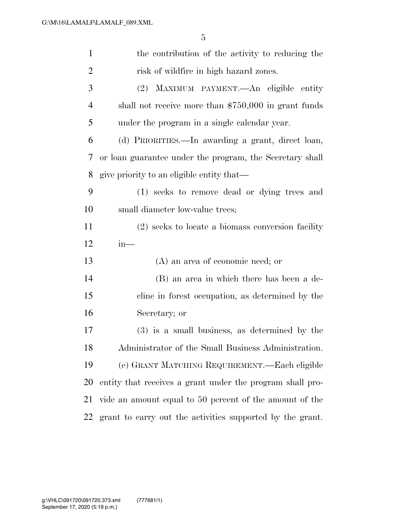| $\mathbf{1}$   | the contribution of the activity to reducing the          |  |  |  |
|----------------|-----------------------------------------------------------|--|--|--|
| $\overline{2}$ | risk of wildfire in high hazard zones.                    |  |  |  |
| 3              | (2) MAXIMUM PAYMENT.—An eligible entity                   |  |  |  |
| $\overline{4}$ | shall not receive more than $$750,000$ in grant funds     |  |  |  |
| 5              | under the program in a single calendar year.              |  |  |  |
| 6              | (d) PRIORITIES.—In awarding a grant, direct loan,         |  |  |  |
| 7              | or loan guarantee under the program, the Secretary shall  |  |  |  |
| 8              | give priority to an eligible entity that—                 |  |  |  |
| 9              | (1) seeks to remove dead or dying trees and               |  |  |  |
| 10             | small diameter low-value trees;                           |  |  |  |
| 11             | (2) seeks to locate a biomass conversion facility         |  |  |  |
| 12             | $in-$                                                     |  |  |  |
| 13             | $(A)$ an area of economic need; or                        |  |  |  |
|                |                                                           |  |  |  |
| 14             | (B) an area in which there has been a de-                 |  |  |  |
| 15             | cline in forest occupation, as determined by the          |  |  |  |
| 16             | Secretary; or                                             |  |  |  |
| 17             | $(3)$ is a small business, as determined by the           |  |  |  |
| 18             | Administrator of the Small Business Administration.       |  |  |  |
| 19             | (e) GRANT MATCHING REQUIREMENT. - Each eligible           |  |  |  |
| 20             | entity that receives a grant under the program shall pro- |  |  |  |
| 21             | vide an amount equal to 50 percent of the amount of the   |  |  |  |